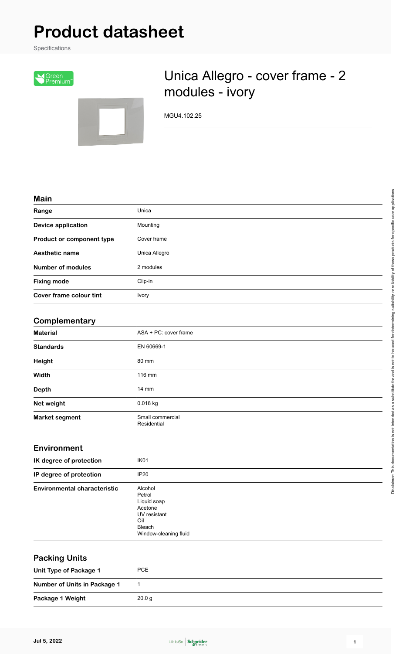# **Product datasheet**

Specifications





# Unica Allegro - cover frame - 2 modules - ivory

MGU4.102.25

#### **Main**

| Range                     | Unica         |
|---------------------------|---------------|
| <b>Device application</b> | Mounting      |
| Product or component type | Cover frame   |
| Aesthetic name            | Unica Allegro |
| <b>Number of modules</b>  | 2 modules     |
| <b>Fixing mode</b>        | Clip-in       |
| Cover frame colour tint   | <b>Ivory</b>  |

### **Complementary**

| <b>Material</b>       | ASA + PC: cover frame           |  |
|-----------------------|---------------------------------|--|
| <b>Standards</b>      | EN 60669-1                      |  |
| Height                | 80 mm                           |  |
| Width                 | 116 mm                          |  |
| <b>Depth</b>          | $14 \text{ mm}$                 |  |
| Net weight            | 0.018 kg                        |  |
| <b>Market segment</b> | Small commercial<br>Residential |  |

#### **Environment**

| IK degree of protection             | IK <sub>01</sub>                                                                                             |
|-------------------------------------|--------------------------------------------------------------------------------------------------------------|
| IP degree of protection             | IP20                                                                                                         |
| <b>Environmental characteristic</b> | Alcohol<br>Petrol<br>Liquid soap<br>Acetone<br>UV resistant<br>Oil<br><b>Bleach</b><br>Window-cleaning fluid |

| <b>Packing Units</b>         |                   |
|------------------------------|-------------------|
| Unit Type of Package 1       | PCE               |
| Number of Units in Package 1 |                   |
| Package 1 Weight             | 20.0 <sub>g</sub> |